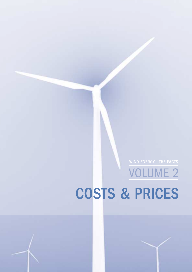# VOLUME 2 COSTS & PRICES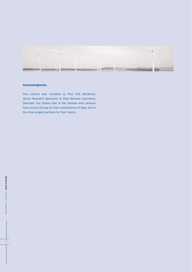

#### **Acknowledgments**

This volume was compiled by Poul Erik Morthorst, Senior Research Specialist at Risø National Laboratory, Denmark. Our thanks also to the national wind associations around Europe for their contributions of data, and to the other project partners for their inputs.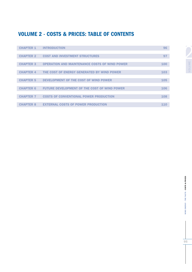# **VOLUME 2 - COSTS & PRICES: TABLE OF CONTENTS**

| <b>CHAPTER 1</b> | <b>INTRODUCTION</b>                                  | 96  |
|------------------|------------------------------------------------------|-----|
|                  |                                                      |     |
| <b>CHAPTER 2</b> | <b>COST AND INVESTMENT STRUCTURES</b>                | 97  |
|                  |                                                      |     |
| <b>CHAPTER 3</b> | <b>OPERATION AND MAINTENANCE COSTS OF WIND POWER</b> | 100 |
|                  |                                                      |     |
| <b>CHAPTER 4</b> | THE COST OF ENERGY GENERATED BY WIND POWER           | 103 |
|                  |                                                      |     |
| <b>CHAPTER 5</b> | DEVELOPMENT OF THE COST OF WIND POWER                | 105 |
|                  |                                                      |     |
| <b>CHAPTER 6</b> | <b>FUTURE DEVELOPMENT OF THE COST OF WIND POWER</b>  | 106 |
|                  |                                                      |     |
| <b>CHAPTER 7</b> | <b>COSTS OF CONVENTIONAL POWER PRODUCTION</b>        | 108 |
|                  |                                                      |     |
| <b>CHAPTER 8</b> | <b>EXTERNAL COSTS OF POWER PRODUCTION</b>            | 110 |

VOLUME

VOLUME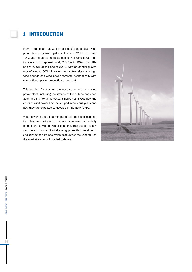## **1 INTRODUCTION**

From a European, as well as a global perspective, wind power is undergoing rapid development. Within the past 10 years the global installed capacity of wind power has increased from approximately 2.5 GW in 1992 to a little below 40 GW at the end of 2003, with an annual growth rate of around 30%. However, only at few sites with high wind speeds can wind power compete economically with conventional power production at present.

This section focuses on the cost structures of a wind power plant, including the lifetime of the turbine and operation and maintenance costs. Finally, it analyses how the costs of wind power have developed in previous years and how they are expected to develop in the near future.

Wind power is used in a number of different applications, including both grid-connected and stand-alone electricity production, as well as water pumping. This section analyses the economics of wind energy primarily in relation to grid-connected turbines which account for the vast bulk of the market value of installed turbines.

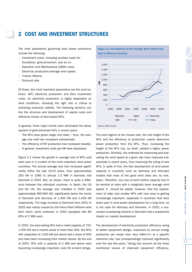### **2 COST AND INVESTMENT STRUCTURES**

The main parameters governing wind power economics include the following:

- Investment costs, including auxiliary costs for foundation, grid-connection, and so on.
- Operation and Maintenance (O&M) costs.
- Electricity production/average wind speed.
- Turbine lifetime.
- Discount rate.

Of these, the most important parameters are the wind turbines' (WT) electricity production and their investment costs. As electricity production is highly dependent on wind conditions, choosing the right site is critical to achieving economic viability. The following sections outline the structure and development of capital costs and efficiency trends of land based WTs.

In general, three major trends have dominated the development of grid-connected WTs in recent years:

- The WTs have grown larger and taller thus, the average size sold has increased substantially.
- The efficiency of WT production has increased steadily.
- In general, investment costs per kW have decreased.

Figure 2.1 shows the growth in average size of WTs sold each year in a number of the most important wind power countries. The annual average size has increased significantly within the last 10-15 years, from approximately 200 kW in 1990 to almost 1.5 MW in Germany and Denmark in 2002. But, as shown, there is quite a difference between the individual countries. In Spain, the US and the UK, the average size installed in 2002 was approximately 850-900 kW, significantly below the levels of Denmark and Germany of 1,450 kW and 1,400 kW respectively. The large increase in Denmark from 2001 to 2002 was mainly caused by the Horns Reef offshore wind farm which came onstream in 2002 equipped with 80 WTs of 2 MW each.

In 2002, the best-selling WTs had a rated capacity of 750- 1,500 kW and a market share of more than 50%. But WTs with capacities of 1,500 kW and above had a share of 30% and have been increasing their market shares. By the end of 2002, WTs with a capacity of 2 MW and above were becoming increasingly important, even for on-land sitings.

Figure 2.1: Development of the Average Wind Turbine Size Sold in Different Countries



Source: BTM Consult

The wind regime at the chosen site, the hub height of the WTs and the efficiency of production mainly determine power production from the WTs. Thus, increasing the height of the WTs has, by itself, yielded a higher power production. Similarly, the methods for measuring and evaluating the wind speed at a given site have improved substantially in recent years, thus improving the siting of new WTs. In spite of this, the fast development of wind power capacity in countries such as Germany and Denmark implies that most of the good wind sites are, by now, taken. Therefore, any new on-land turbine capacity has to be erected at sites with a marginally lower average wind speed. It should be added, however, that the replacement of older and smaller WTs with new ones is getting increasingly important, especially in countries that have taken part in wind power development for a long time, as is the case for Germany and Denmark. In 2002, a successful re-powering scheme in Denmark had a substantial impact on market development.

The development of electricity production efficiency owing to better equipment design, measured as annual energy production per swept rotor area (kWh/m<sup>2</sup>) at a specific reference site, has correspondingly improved significantly over the last few years. Taking into account all the three mentioned issues of improved equipment efficiency,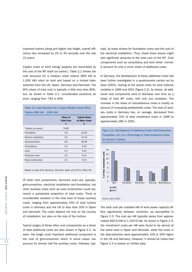improved turbine siting and higher hub height, overall efficiency has increased by 2% to 3% annually over the last 15 years.

Capital costs of wind energy projects are dominated by the cost of the WT itself (ex works $^{\scriptscriptstyle 1}$ ). Table 2.1 shows the cost structure for a medium sized turbine (850 kW to 1,500 kW) sited on land and based on a limited dataselection from the UK, Spain, Germany and Denmark. The WTs share of total cost is typically a little less than 80%, but, as shown in Table 2.1, considerable variations do exist, ranging from 74% to 82%.

| Table 2.1: Cost Structure for a Typical Medium Sized Wind |  |  |  |
|-----------------------------------------------------------|--|--|--|
| Turbine (850 kW – 1500 kW)                                |  |  |  |

|                       | Share of<br><b>Total Cost</b><br>% | <b>Typical Share</b><br>of Other Costs<br>% |
|-----------------------|------------------------------------|---------------------------------------------|
| Turbine (ex works)    | 74-82                              | -                                           |
| Foundation            | $1 - 6$                            | 20-25                                       |
| Electric installation | $1-9$                              | 10-15                                       |
| Grid-connection       | $2-9$                              | 35-45                                       |
| Consultancy           | $1-3$                              | $5-10$                                      |
| Land                  | $1-3$                              | $5-10$                                      |
| Financial costs       | $1-5$                              | $5 - 10$                                    |
| Road construction     | $1-5$                              | $5-10$                                      |
|                       |                                    |                                             |

Based on data from Germany, Denmark, Spain and UK for 2001/02.

Of other cost components, dominant ones are, typically,<br>
grid-connection, electrical installation and foundation, but<br>
ther auxiliary costs such as road construction could rep-<br>
resent a substantial proportion of total co Of other cost components, dominant ones are, typically, grid-connection, electrical installation and foundation, but other auxiliary costs such as road construction could represent a substantial proportion of total costs. There is considerable variation in the total level of these auxiliary costs, ranging from approximately 24% of total turbine costs in Germany and the UK to less than 20% in Spain and Denmark. The costs depend not only on the country of installation, but also on the size of the turbine.

Typical ranges of these other cost components as a share of total additional costs are also shown in Figure 2.2. As seen, the single most important additional component is the cost of grid-connection which in some cases can account for almost half the auxiliary costs, followed, typically, by lower shares for foundation costs and the cost of the electrical installation. Thus, these three issues might add significant amounts to the total cost of the WT. Cost components such as consultancy and land rental normally account for only a minor share of additional costs.

In Germany, the development of these additional costs has been further investigated in a questionnaire carried out by Dewi (2002), looking at the actual costs for wind turbines installed in 1999 and 2001 (Figure 2.2). As shown, all additional cost components tend to decrease over time as a share of total WT costs, with only one exception. The increase in the share of miscellaneous costs is mostly on account of increasing prefeasibility costs. The level of auxiliary costs in Germany has, on average, decreased from approximately 31% of total investment costs in 1999 to approximately 28% in 2001.

Figure 2.2: Development of Additional Costs (Grid-Connection,



The total cost per installed kW of wind power capacity differs significantly between countries, as exemplified in Figure 2.3. The cost per kW typically varies from approximately 900 €/kW to 1,150 €/kW. As shown in Figure 2.3, the investment costs per kW were found to be almost at the same level in Spain and Denmark, while the costs in the data-selection were approximately 10% to 30% higher in the UK and Germany. However, it should be noted that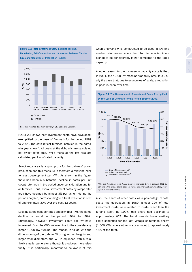

Figure 2.3: Total Investment Cost, Including Turbine,

Based on reported data from Germany<sup>2</sup>, UK, Spain and Denmark.

Figure 2.4 shows how investment costs have developed, exemplified by the case of Denmark for the period 1989 to 2001. The data reflect turbines installed in the particular year shown<sup>3</sup>. All costs at the right axis are calculated per swept rotor area, while those at the left axis are calculated per kW of rated capacity.

Swept rotor area is a good proxy for the turbines' power production and this measure is therefore a relevant index for cost development per kWh. As shown in the figure, there has been a substantial decline in costs per unit swept rotor area in the period under consideration and for all turbines. Thus, overall investment costs by swept rotor area have declined by almost 3% per annum during the period analysed, corresponding to a total reduction in cost of approximately 30% over the past 12 years.

Looking at the cost per rated capacity (per kW), the same decline is found in the period 1989 to 1997. Surprisingly, however, investment costs per kW have increased from the 600 kW machine to the considerably larger 1,000 kW turbine. The reason is to do with the dimensioning of the turbine. With higher hub heights and larger rotor diameters, the WT is equipped with a relatively smaller generator although it produces more electricity. It is particularly important to be aware of this

when analysing WTs constructed to be used in low and medium wind areas, where the rotor diameter is dimensioned to be considerably larger compared to the rated capacity.

Another reason for the increase in capacity costs is that, in 2001, the 1,000 kW machine was fairly new. It is usually the case that, due to economies of scale, a reduction in price is seen over time.

Figure 2.4: The Development of Investment Costs, Exemplified

by the Case of Denmark for the Period 1989 to 2001



Right axis: Investment costs divided by swept rotor area ( $\epsilon/m^2$  in constant 2001  $\epsilon$ ).

Also, the share of other costs as a percentage of total costs has decreased. In 1989, almost 29% of total investment costs were related to costs other than the turbine itself. By 1997, this share had declined to approximately 20%. The trend towards lower auxiliary costs continues for the last vintage of turbines shown (1,000 kW), where other costs amount to approximately 18% of the total.

Left axis: Wind turbine capital costs (ex works) and other costs per kW rated power (€/kW in constant 2001 €).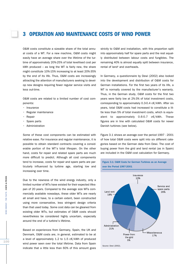#### **3 OPERATION AND MAINTENANCE COSTS OF WIND POWER**

O&M costs constitute a sizeable share of the total annual costs of a WT. For a new machine, O&M costs might easily have an average share over the lifetime of the turbine of approximately 20%-25% of total levellised cost per kWh produced – as long the WT is fairly new, the share might constitute 10%-15% increasing to at least 20%-35% by the end of its life. Thus, O&M costs are increasingly attracting the attention of manufacturers seeking to develop new designs requiring fewer regular service visits and less out-time.

O&M costs are related to a limited number of cost components:

- Insurance
- Regular maintenance
- **Repair**
- Spare parts
- **Administration**

Some of these cost components can be estimated with relative ease. For insurance and regular maintenance, it is possible to obtain standard contracts covering a considerable portion of the WT's total lifespan. On the other hand, costs for repair and related spare parts are much more difficult to predict. Although all cost components tend to increase, costs for repair and spare parts are particularly influenced by turbine age, starting low and increasing over time.

Due to the newness of the wind energy industry, only a limited number of WTs have existed for their expected lifespan of 20 years. Compared to the average size WTs commercially available nowadays, these older WTs are nearly all small and have, to a certain extent, been constructed using more conservative, less stringent design criteria than that used today. Some cost data can be gleaned from existing older WTs, but estimates of O&M costs should nevertheless be considered highly uncertain, especially around the end of a turbine's lifetime.

Based on experiences from Germany, Spain, the UK and Denmark, O&M costs are, in general, estimated to be at a level of approximately 1.2 to 1.5 c€/kWh of produced wind power seen over the total lifetime. Data from Spain indicate that a little less than 60% of this amount goes strictly to O&M and installation, with this proportion split into approximately half for spare parts and the rest equally distributed between labour costs and fungibles. The remaining 40% is almost equally split between insurance. rental of land<sup>4</sup> and overheads.

In Germany, a questionnaire by Dewi (2002) also looked into the development and distribution of O&M costs for German installations. For the first two years of its life, a WT is normally covered by the manufacturer's warranty. Thus, in the German study, O&M costs for the first two years were fairly low at 2%-3% of total investment costs, corresponding to approximately 0.3-0.4 c€/kWh. After six years, total O&M costs had increased to constitute a little less than 5% of total investment costs, which is equivalent to approximately 0.6-0.7 c€/kWh. These figures are in line with calculated O&M costs for newer Danish turbines (see below).

Figure 3.1 shows an average over the period 1997 - 2001 of how total O&M costs were split into six different categories based on the German data from Dewi. The cost of buying power from the grid and land rental (as in Spain) are included in the O&M cost calculation for Germany.

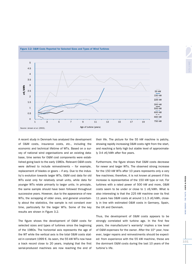

A recent study in Denmark has analysed the development of O&M costs, insurance costs, etc., including the economic and technical lifetime of WTs. Based on a survey of national wind organisations and an existing database, time series for O&M cost components were established going back to the early 1980s. Relevant O&M costs were defined to include reinvestments – for example, replacement of blades or gears – if any. Due to the industry's evolution towards larger WTs, O&M cost data for old WTs exist only for relatively small units, while data for younger WTs relate primarily to larger units. In principle, the same sample should have been followed throughout successive years. However, due to the appearance of new WTs, the scrapping of older ones, and general uncertainty about the statistics, the sample is not constant over time, particularly for the larger WTs. Some of the key results are shown in Figure 3.2.

The figure shows the development of O&M costs for selected sizes and types of turbines since the beginning of the 1980s. The horizontal axis represents the age of the WT while the vertical axis is the total O&M costs stated in constant 1999 €. As seen, the 55 kW WTs now have a track record close to 20 years, implying that the first serial-produced machines are now reaching the end of their life. The picture for the 55 kW machine is patchy, showing rapidly increasing O&M costs right from the start, and reaching a fairly high but stable level of approximately 3-4 c€/kWh after five years.

Furthermore, the figure shows that O&M costs decrease for newer and larger WTs. The observed strong increase for the 150 kW WTs after 10 years represents only a very few machines; therefore, it is not known at present if this increase is representative of the 150 kW type or not. For turbines with a rated power of 500 kW and more, O&M costs seem to be under or close to 1  $c \in /kWh$ . What is also interesting is that the 225 kW machine over its first 11 years has O&M costs at around 1-1.3 c€/kWh, closely in line with estimated O&M costs in Germany, Spain, the UK and Denmark.

Thus, the development of O&M costs appears to be strongly correlated with turbine age. In the first few years, the manufacturer's warranty<sup>5</sup> implies a low level of O&M expenses for the owner. After the  $10<sup>th</sup>$  year, however, larger repairs and reinvestments should be expected: from experience with the 55 kW machine, these are the dominant O&M costs during the last 10 years of the turbine's life.

**WIND ENERGY - THE FACTS - COSTS & PRICES**

VIND

ENERGY - THE FACTS - COSTS & PRICES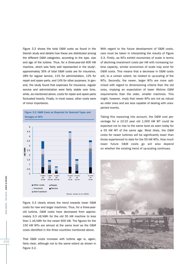Figure 3.3 shows the total O&M costs as found in the Danish study and details how these are distributed among the different O&M categories, according to the type, size and age of the turbine. Thus, for a three-year-old 600 kW machine, which was fairly well represented in the study<sup>6</sup>, approximately 35% of total O&M costs are for insurance, 28% for regular service, 11% for administration, 12% for repair and spare parts, and 14% for other purposes. In general, the study found that expenses for insurance, regular service and administration were fairly stable over time, while, as mentioned above, costs for repair and spare parts fluctuated heavily. Finally, in most cases, other costs were of minor importance.

Figure 3.3: O&M Costs as Reported for Selected Types and Vintages of WTs



Figure 3.3 clearly shows the trend towards lower O&M costs for new and larger machines. Thus, for a three-yearold turbine, O&M costs have decreased from approximately 3.5 c€/kWh for the old 55 kW machine to less than 1 c€/kWh for the newer 600 kW. The figures for the 150 kW WTs are almost at the same level as the O&M costs identified in the three countries mentioned above.

That O&M costs increase with turbine age is, again, fairly clear, although not to the same extent as shown in Figure 3.2.

With regard to the future development of O&M costs. care must be taken in interpreting the results of Figure 3.3. Firstly, as WTs exhibit economies of scale in terms of declining investment costs per kW with increasing turbine capacity, similar economies of scale may exist for O&M costs. This means that a decrease in O&M costs will, to a certain extent, be related to up-scaling of the WTs. Secondly, the newer, larger WTs are more optimised with regard to dimensioning criteria than the old ones, implying an expectation of lower lifetime O&M requirements than the older, smaller machines. This might, however, imply that newer WTs are not as robust as older ones and are less capable of dealing with unexpected events.

Taking this reasoning into account, the O&M cost percentage for a 10-15 year old 1,000 kW WT could be expected not to rise to the same level as seen today for a 55 kW WT of the same age. Most likely, the O&M costs for newer turbines will be significantly lower than those experienced to date for the 55 kW WTs. How much lower future O&M costs go will also depend on whether the existing trend of up-scaling continues.

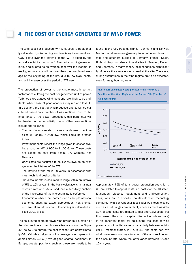### **4 THE COST OF ENERGY GENERATED BY WIND POWER**

The total cost per produced kWh (unit cost) is traditionally calculated by discounting and levelising investment and O&M costs over the lifetime of the WT, divided by the annual electricity production<sup>7</sup>. The unit cost of generation is thus calculated as an average cost over the lifetime. In reality, actual costs will be lower than the calculated average at the beginning of the life, due to low O&M costs, and will increase over the period of WT use.

The production of power is the single most important factor for calculating the cost per generated unit of power. Turbines sited at good wind locations are likely to be profitable, while those at poor locations may run at a loss. In this section, the cost of wind-produced energy will be calculated based on a number of assumptions. Due to the importance of the power production, this parameter will be treated on a sensitivity basis. Other assumptions include the following:

- The calculations relate to a new land-based mediumsized WT of 850-1,500 kW, which could be erected today.
- Investment costs reflect the range given in section two, i.e. a cost per kW of 900 to  $1,100 \text{ }\epsilon$ /kW. These costs are based on data from Spain, UK, Germany and Denmark.
- O&M costs are assumed to be 1.2 c€/kWh as an average over the lifetime of the WT.
- The lifetime of the WT is 20 years, in accordance with most technical design criteria.
- The discount rate is assumed to range within an interval of 5% to 10% a year. In the basic calculations, an annual discount rate of 7.5% is used, and a sensitivity analysis of the importance of the interest range is performed.
- Economic analyses are carried out as simple national economic ones. No taxes, depreciation, risk premia, etc. are taken into account. Everything is calculated at fixed 2001 prices.

The calculated costs per kWh wind power as a function of the wind regime at the chosen sites are shown in Figure 4.1 below<sup>8</sup>. As shown, the cost ranges from approximately 6-8 c€/kWh at sites with low average wind speeds to approximately 4-5 c€/kWh at good coastal positions<sup>9</sup>. In Europe, coastal positions such as these are mostly to be

Found in the UK, Ireland, France, Denmark and Norway.<br>
2 Medium wind areas are generally found at inland terrain in<br>
mid- and southern Europe in Germany, France, Spain,<br>
Holland, Italy, but also at inland sites in Sweden, Medium wind areas are generally found at inland terrain in mid- and southern Europe in Germany, France, Spain, Holland, Italy, but also at inland sites in Sweden, Finland and Denmark. In many cases, local conditions significantly influence the average wind speed at the site. Therefore, strong fluctuations in the wind regime are to be expected, even for neighbouring areas.

Figure 4.1: Calculated Costs per kWh Wind Power as a



Approximately 75% of total power production costs for a WT are related to capital costs, i.e. costs for the WT itself, foundation, electrical equipment and grid-connection. Thus, WTs are a so-called capital-intensive technology compared with conventional fossil fuel-fired technologies such as a natural gas power plant, where as much as 40%- 60% of total costs are related to fuel and O&M costs. For this reason, the cost of capital (discount or interest rate) is an important factor for calculating the cost of wind power; cost of capital varies substantially between individual EU member states. In Figure 4.2, the costs per kWh wind power are shown as a function of the wind regime and the discount rate, where the latter varies between 5% and 10% a year.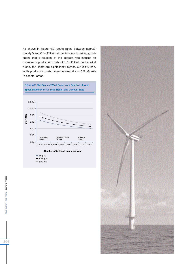As shown in Figure 4.2, costs range between approximately 5 and 6.5 c€/kWh at medium wind positions, indicating that a doubling of the interest rate induces an increase in production costs of 1.5 c€/kWh. In low wind areas, the costs are significantly higher, 6.5-9 c€/kWh, while production costs range between 4 and 5.5 c€/kWh in coastal areas.

Figure 4.2: The Costs of Wind Power as a Function of Wind Speed (Number of Full Load Hours) and Discount Rate



 $= 7.5%$  p.a.  $10% p.a.$ 



 $104$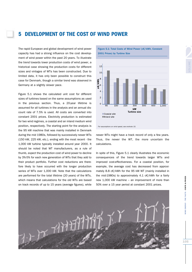### **5 DEVELOPMENT OF THE COST OF WIND POWER**

The rapid European and global development of wind power capacity has had a strong influence on the cost development of wind power within the past 20 years. To illustrate the trend towards lower production costs of wind power, a historical case showing the production costs for different sizes and vintages of WTs has been constructed. Due to limited data, it has only been possible to construct this case for Denmark, though a similar trend was observed in Germany at a slightly slower pace.

Figure 5.1 shows the calculated unit cost for different sizes of turbines based on the same assumptions as used in the previous section. Thus, a 20-year lifetime is assumed for all turbines in the analysis and an annual discount rate of 7.5% is used. All costs are converted into constant 2001 prices. Electricity production is estimated for two wind regimes, a coastal and an inland medium wind position, respectively. The starting point for the analysis is the 95 kW machine that was mainly installed in Denmark during the mid 1980s, followed by successively newer WTs (150 kW, 225 kW, etc.), ending with the most recent - the 1,000 kW turbine typically installed around year 2000. It should be noted that WT manufacturers, as a rule of thumb, expect the production cost of wind power to decline by 3%-5% for each new generation of WTs that they add to their product portfolio. Further cost reductions are therefore likely to have occurred with the longer production series of WTs over 1,000 kW. Note that the calculations are performed for the total lifetime (20 years) of the WTs, which means that calculations for the old WTs are based on track records of up to 15 years (average figures), while

Figure 5.1: Total Costs of Wind Power (c€/kWh, Constant 2001 Prices) by Turbine Size



For assumptions on wind speed, see endnote 10.

newer WTs might have a track record of only a few years. Thus, the newer the WT, the more uncertain the calculations.

In spite of this, Figure 5.1 clearly illustrates the economic consequences of the trend towards larger WTs and improved cost-effectiveness. For a coastal position, for example, the average cost has decreased from approximately 8.8 c€/kWh for the 95 kW WT (mainly installed in the mid-1980s) to approximately 4.1 c€/kWh for a fairly new 1,000 kW machine – an improvement of more than 50% over a 15 year period at constant 2001 prices.

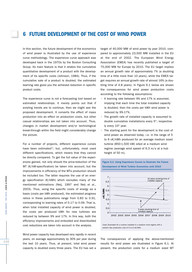#### **6 FUTURE DEVELOPMENT OF THE COST OF WIND POWER**

In this section, the future development of the economics of wind power is illustrated by the use of experience curve methodology. The experience curve approach was developed back in the 1970s by the Boston Consulting Group. Its main feature is that it relates the cumulative quantitative development of a product with the development of its specific costs (Johnson, 1984). Thus, if the cumulative sale of a product is doubled, the estimated learning rate gives you the achieved reduction in specific product costs.

The experience curve is not a forecasting tool based on estimated relationships. It merely points out that if existing trends are to continue, then we might see the proposed development. It converts the effect of mass production into an effect on production costs, but other casual relationships are not taken into account. Thus, changes in market development and/or technological break-through within the field might considerably change the picture.

For a number of projects, different experience curves have been estimated<sup>10</sup>, but, unfortunately, most used different specifications, which means that they cannot be directly compared. To get the full value of the experiences gained, not only should the price-reduction of the WT (€/kW-specification) be taken into account, but the improvements in efficiency of the WTs production should be included too. The latter requires the use of an energy specification  $(E/KWh)$  which excludes many of the mentioned estimations (Neij, 1997 and Neij et al., 2003). Thus, using the specific costs of energy as a basis (costs per kWh produced), the estimated progress ratios in these publications range from 0.83 to 0.91, corresponding to learning rates of 0.17 to 0.09. That is, when total installed capacity of wind power is doubled, the costs per produced kWh for new turbines are reduced by between 9% and 17%. In this way, both the efficiency improvements and embodied and disembodied cost reductions are taken into account in the analysis.

Wind power capacity has developed very rapidly in recent years, on average approximately by 30% per year during the last 10 years. Thus, at present, total wind power capacity is doubled every three years. The EU has set a

target of 40,000 MW of wind power by year 2010, compared to approximately 23,500 MW installed in the EU at the end of 2002. The European Wind Energy Association (EWEA) has recently published a target of 75,000 MW for Europe by 2010. The EU target implies an annual growth rate of approximately 7% (a doubling time of a little more than 10 years), while the EWEA target requires an annual growth rate of almost 16% (a doubling time of 4.8 years). In Figure 6.1 below are shown the consequences for wind power production costs according to the following assumptions:

- A learning rate between 9% and 17% is assumed, implying that each time the total installed capacity is doubled, then the costs per kWh wind power is reduced by 9%-17%.
- The growth rate of installed capacity is assumed to double cumulative installations every  $5<sup>th</sup>$ , respectively every 10<sup>th</sup> year.
- The starting point for the development is the cost of wind power as observed today, i.e. in the range of 5 to 6 c€/kWh produced for an average medium sized turbine (850-1,500 kW) sited at a medium wind regime (average wind speed of 6.3 m/s at a hub height of 50 m).



Figure 6.1: Using Experience Curves to Illustrate the Future Development of Wind Turbine Economics until 2010

The consequences of applying the above-mentioned results for wind power are illustrated in Figure 6.1. At present, the production costs for a medium sized WT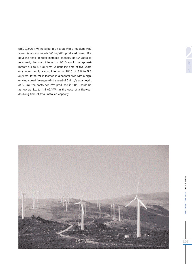(850-1,500 kW) installed in an area with a medium wind speed is approximately 5-6 c€/kWh produced power. If a doubling time of total installed capacity of 10 years is assumed, the cost interval in 2010 would be approximately 4.4 to 5.6 c€/kWh. A doubling time of five years only would imply a cost interval in 2010 of 3.9 to 5.2 c€/kWh. If the WT is located in a coastal area with a higher wind speed (average wind speed of 6.9 m/s at a height of 50 m), the costs per kWh produced in 2010 could be as low as 3.1 to 4.4 c€/kWh in the case of a five-year doubling time of total installed capacity.



**WIND ENERGY - THE FACTS - COSTS & PRICES**

**NIND ENERGY - THE FACTS - COSTS & PRICES** 



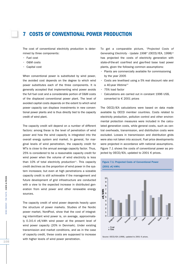#### **7COSTS OF CONVENTIONAL POWER PRODUCTION**

The cost of conventional electricity production is determined by three components:

- Fuel cost
- O&M costs
- Capital cost

When conventional power is substituted by wind power, the avoided cost depends on the degree to which wind power substitutes each of the three components. It is generally accepted that implementing wind power avoids the full fuel cost and a considerable portion of O&M costs of the displaced conventional power plant. The level of avoided capital costs depends on the extent to which wind power capacity can displace investments in new conventional power plants and is thus directly tied to the capacity credit of wind plant.

The capacity credit will depend on a number of different factors: among these is the level of penetration of wind power and how the wind capacity is integrated into the overall energy system and market. In general, for marginal levels of wind penetration, the capacity credit for WTs is close to the annual average capacity factor. Thus, 25% is considered to be a reasonable capacity credit for wind power when the volume of wind electricity is less than  $10\%$  of total electricity production<sup>11</sup>. This capacity credit declines as the proportion of wind power in the system increases; but even at high penetrations a sizeable capacity credit is still achievable if the management and future development of grid infrastructure are conducted with a view to the expected increase in distributed generation from wind power and other renewable energy sources.

The capacity credit of wind power depends heavily upon the structure of power markets. Studies of the Nordic power market, NordPool, show that the cost of integrating intermittant wind power is, on average, approximately 0.3-0.4 c€/kWh wind power at the present level of wind power capacity (20% in Denmark). Under existing transmission and market conditions, and as in the case of capacity credit, these costs are supposed to increase with higher levels of wind power penetration.

To get a comparable picture, "Projected Costs of Generating Electricity - Update 1998" (OECD/IEA, 1998)<sup>12</sup> has projected the costs of electricity generation with state-of-the-art coal-fired and gas-fired base load power plants, given the following common assumptions:

- Plants are commercially available for commissioning by the year 2005
- Costs are levellised using a 5% real discount rate and a 40-year lifetime<sup>13</sup>
- 75% load factor
- Calculations are carried out in constant 1996 US\$, converted to € 2001 prices

The OECD/IEA calculations were based on data made available by OECD member countries. Costs related to electricity production, pollution control and other environmental protection measures were included in the calculated generation costs, while general costs, such as central overheads, transmission, and distribution costs were excluded. Losses in transmission and distribution grids were also not taken into account. Fuel price developments were projected in accordance with national assumptions. Figure 7.1 shows the costs of conventional power as projected by OECD/IEA, updated to 2001 € prices.



Source: OECD/IEA (1998), updated to 2001 € prices.

THE FACTS - COSTS & PRICES

**ENFRGY**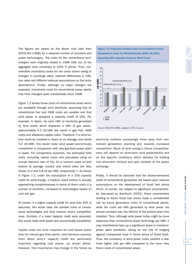The figures are based on the above cost data from OECD/IEA (1998) for a selected number of countries and power technologies. The costs for the conventional technologies were originally stated in 1996 US\$, but at the aggregate level converted to 2001 € prices. Thus, considerable uncertainty exists for the costs shown owing to changes in exchange rates, national differences in inflation rates and different national assumptions on fuel price development. Finally, although no major changes are expected, investment costs for conventional power plants may have changed quite substantially since 1998.

Figure 7.2 shows those costs of conventional power which are avoidable through wind electricity, assuming that all conventional fuel and O&M costs are avoided and that wind power is assigned a capacity credit of 25%. For example, in Spain, for each kWh of electricity generated by wind power which displaces a kWh of gas power, approximately 5.2 c€/kWh are saved in gas fuel, O&M costs and displaced capital costs. Therefore, if a wind turbine could be installed in Spain at an average cost below 5.2 c€/kWh, this would make wind power economically competitive in comparison with new gas-fired power plant in Spain. For comparative purposes, the estimated total costs (including capital costs and calculated using an annual discount rate of 5%) for a medium sized on-land turbine at average coastal and inland sites are also shown (4.2 and 4.8 c $\epsilon$  per kWh, respectively<sup>14</sup>). As shown in Figure 7.2, under the assumption of a 25% capacity credit for wind energy, a medium sized turbine is actually approaching competitiveness in terms of direct costs in a number of countries, compared to technologies based on coal and gas.

Of course, if a higher capacity credit for wind than 25% is assumed, this would raise the avoided costs of conventional technologies and thus improve wind's competitiveness. Similarly, if a lower capacity credit were assumed, this would make wind power less economically competitive.

Capital costs are more important for coal based power than for natural gas fired plants, and therefore assumptions about wind's capacity credit are particularly important regarding coal plants, as shown above. However, this importance may change in the future as





Source: OECD/IEA (1998), updated to 2001 € prices.

electricity markets increasingly move away from centralised generation planning and towards increased competition. Much of wind energy's future competitiveness will depend on short-term wind predictability and on the specific conditions which develop for bidding into short-term forward and spot markets at the power exchange.

Finally, it should be stressed that the above-mentioned costs of conventional generation are based upon national assumptions on the development of fossil fuel prices which, of course, are subject to significant uncertainties. As discussed by Awerbuch (2003), these uncertainties relating to future fossil fuel prices imply a considerable risk for future generation costs of conventional plants, while the costs per kWh generated by wind power are almost constant over the lifetime of the turbine when first installed. Thus, although wind power today might be more expensive than conventional power technology per kWh, it may nevertheless take up a significant share in investors' power plant portfolios, taking on the role of hedging against unexpected rises in future prices of fossil fuels. Thus, the constancy of wind power costs justifies a relatively higher cost per kWh compared to the more risky future costs of conventional power.

VIND